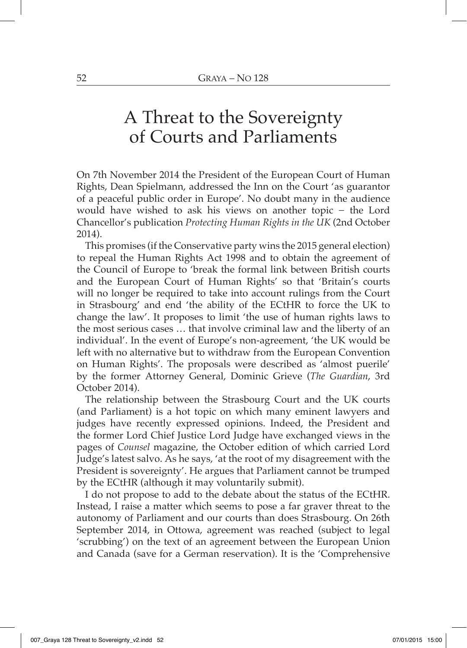## A Threat to the Sovereignty of Courts and Parliaments

On 7th November 2014 the President of the European Court of Human Rights, Dean Spielmann, addressed the Inn on the Court 'as guarantor of a peaceful public order in Europe'. No doubt many in the audience would have wished to ask his views on another topic − the Lord Chancellor's publication *Protecting Human Rights in the UK* (2nd October 2014).

This promises (if the Conservative party wins the 2015 general election) to repeal the Human Rights Act 1998 and to obtain the agreement of the Council of Europe to 'break the formal link between British courts and the European Court of Human Rights' so that 'Britain's courts will no longer be required to take into account rulings from the Court in Strasbourg' and end 'the ability of the ECtHR to force the UK to change the law'. It proposes to limit 'the use of human rights laws to the most serious cases … that involve criminal law and the liberty of an individual'. In the event of Europe's non-agreement, 'the UK would be left with no alternative but to withdraw from the European Convention on Human Rights'. The proposals were described as 'almost puerile' by the former Attorney General, Dominic Grieve (*The Guardian*, 3rd October 2014).

The relationship between the Strasbourg Court and the UK courts (and Parliament) is a hot topic on which many eminent lawyers and judges have recently expressed opinions. Indeed, the President and the former Lord Chief Justice Lord Judge have exchanged views in the pages of *Counsel* magazine, the October edition of which carried Lord Judge's latest salvo. As he says, 'at the root of my disagreement with the President is sovereignty'. He argues that Parliament cannot be trumped by the ECtHR (although it may voluntarily submit).

I do not propose to add to the debate about the status of the ECtHR. Instead, I raise a matter which seems to pose a far graver threat to the autonomy of Parliament and our courts than does Strasbourg. On 26th September 2014, in Ottowa, agreement was reached (subject to legal 'scrubbing') on the text of an agreement between the European Union and Canada (save for a German reservation). It is the 'Comprehensive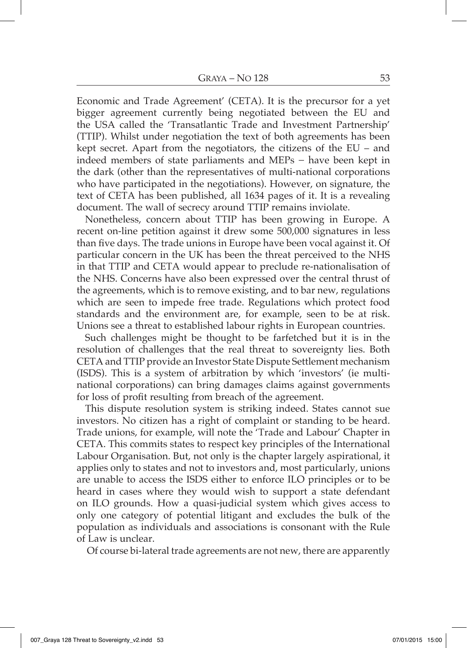Economic and Trade Agreement' (CETA). It is the precursor for a yet bigger agreement currently being negotiated between the EU and the USA called the 'Transatlantic Trade and Investment Partnership' (TTIP). Whilst under negotiation the text of both agreements has been kept secret. Apart from the negotiators, the citizens of the EU – and indeed members of state parliaments and MEPs − have been kept in the dark (other than the representatives of multi-national corporations who have participated in the negotiations). However, on signature, the text of CETA has been published, all 1634 pages of it. It is a revealing document. The wall of secrecy around TTIP remains inviolate.

Nonetheless, concern about TTIP has been growing in Europe. A recent on-line petition against it drew some 500,000 signatures in less than five days. The trade unions in Europe have been vocal against it. Of particular concern in the UK has been the threat perceived to the NHS in that TTIP and CETA would appear to preclude re-nationalisation of the NHS. Concerns have also been expressed over the central thrust of the agreements, which is to remove existing, and to bar new, regulations which are seen to impede free trade. Regulations which protect food standards and the environment are, for example, seen to be at risk. Unions see a threat to established labour rights in European countries.

Such challenges might be thought to be farfetched but it is in the resolution of challenges that the real threat to sovereignty lies. Both CETA and TTIP provide an Investor State Dispute Settlement mechanism (ISDS). This is a system of arbitration by which 'investors' (ie multinational corporations) can bring damages claims against governments for loss of profit resulting from breach of the agreement.

This dispute resolution system is striking indeed. States cannot sue investors. No citizen has a right of complaint or standing to be heard. Trade unions, for example, will note the 'Trade and Labour' Chapter in CETA. This commits states to respect key principles of the International Labour Organisation. But, not only is the chapter largely aspirational, it applies only to states and not to investors and, most particularly, unions are unable to access the ISDS either to enforce ILO principles or to be heard in cases where they would wish to support a state defendant on ILO grounds. How a quasi-judicial system which gives access to only one category of potential litigant and excludes the bulk of the population as individuals and associations is consonant with the Rule of Law is unclear.

Of course bi-lateral trade agreements are not new, there are apparently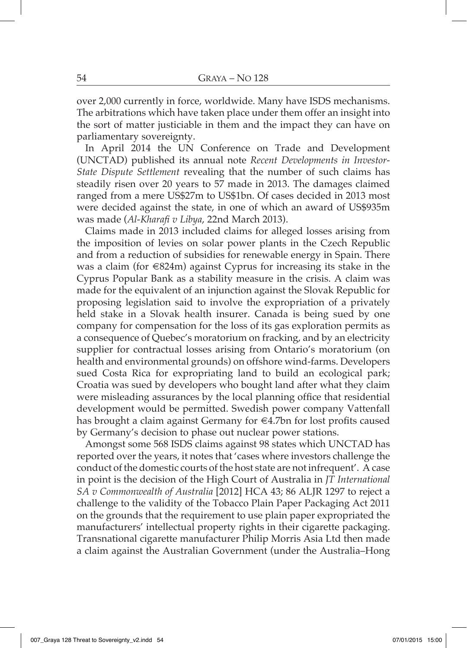over 2,000 currently in force, worldwide. Many have ISDS mechanisms. The arbitrations which have taken place under them offer an insight into the sort of matter justiciable in them and the impact they can have on parliamentary sovereignty.

In April 2014 the UN Conference on Trade and Development (UNCTAD) published its annual note *Recent Developments in Investor-State Dispute Settlement* revealing that the number of such claims has steadily risen over 20 years to 57 made in 2013. The damages claimed ranged from a mere US\$27m to US\$1bn. Of cases decided in 2013 most were decided against the state, in one of which an award of US\$935m was made (*Al-Kharafi v Libya*, 22nd March 2013).

Claims made in 2013 included claims for alleged losses arising from the imposition of levies on solar power plants in the Czech Republic and from a reduction of subsidies for renewable energy in Spain. There was a claim (for €824m) against Cyprus for increasing its stake in the Cyprus Popular Bank as a stability measure in the crisis. A claim was made for the equivalent of an injunction against the Slovak Republic for proposing legislation said to involve the expropriation of a privately held stake in a Slovak health insurer. Canada is being sued by one company for compensation for the loss of its gas exploration permits as a consequence of Quebec's moratorium on fracking, and by an electricity supplier for contractual losses arising from Ontario's moratorium (on health and environmental grounds) on offshore wind-farms. Developers sued Costa Rica for expropriating land to build an ecological park; Croatia was sued by developers who bought land after what they claim were misleading assurances by the local planning office that residential development would be permitted. Swedish power company Vattenfall has brought a claim against Germany for €4.7bn for lost profits caused by Germany's decision to phase out nuclear power stations.

Amongst some 568 ISDS claims against 98 states which UNCTAD has reported over the years, it notes that 'cases where investors challenge the conduct of the domestic courts of the host state are not infrequent'. A case in point is the decision of the High Court of Australia in *JT International SA v Commonwealth of Australia* [2012] HCA 43; 86 ALJR 1297 to reject a challenge to the validity of the Tobacco Plain Paper Packaging Act 2011 on the grounds that the requirement to use plain paper expropriated the manufacturers' intellectual property rights in their cigarette packaging. Transnational cigarette manufacturer Philip Morris Asia Ltd then made a claim against the Australian Government (under the Australia–Hong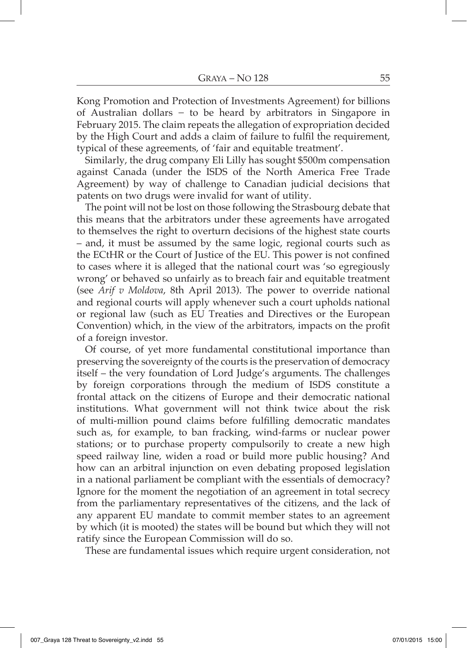Kong Promotion and Protection of Investments Agreement) for billions of Australian dollars − to be heard by arbitrators in Singapore in February 2015. The claim repeats the allegation of expropriation decided by the High Court and adds a claim of failure to fulfil the requirement, typical of these agreements, of 'fair and equitable treatment'.

Similarly, the drug company Eli Lilly has sought \$500m compensation against Canada (under the ISDS of the North America Free Trade Agreement) by way of challenge to Canadian judicial decisions that patents on two drugs were invalid for want of utility.

The point will not be lost on those following the Strasbourg debate that this means that the arbitrators under these agreements have arrogated to themselves the right to overturn decisions of the highest state courts – and, it must be assumed by the same logic, regional courts such as the ECtHR or the Court of Justice of the EU. This power is not confined to cases where it is alleged that the national court was 'so egregiously wrong' or behaved so unfairly as to breach fair and equitable treatment (see *Arif v Moldova*, 8th April 2013). The power to override national and regional courts will apply whenever such a court upholds national or regional law (such as EU Treaties and Directives or the European Convention) which, in the view of the arbitrators, impacts on the profit of a foreign investor.

Of course, of yet more fundamental constitutional importance than preserving the sovereignty of the courts is the preservation of democracy itself – the very foundation of Lord Judge's arguments. The challenges by foreign corporations through the medium of ISDS constitute a frontal attack on the citizens of Europe and their democratic national institutions. What government will not think twice about the risk of multi-million pound claims before fulfilling democratic mandates such as, for example, to ban fracking, wind-farms or nuclear power stations; or to purchase property compulsorily to create a new high speed railway line, widen a road or build more public housing? And how can an arbitral injunction on even debating proposed legislation in a national parliament be compliant with the essentials of democracy? Ignore for the moment the negotiation of an agreement in total secrecy from the parliamentary representatives of the citizens, and the lack of any apparent EU mandate to commit member states to an agreement by which (it is mooted) the states will be bound but which they will not ratify since the European Commission will do so.

These are fundamental issues which require urgent consideration, not